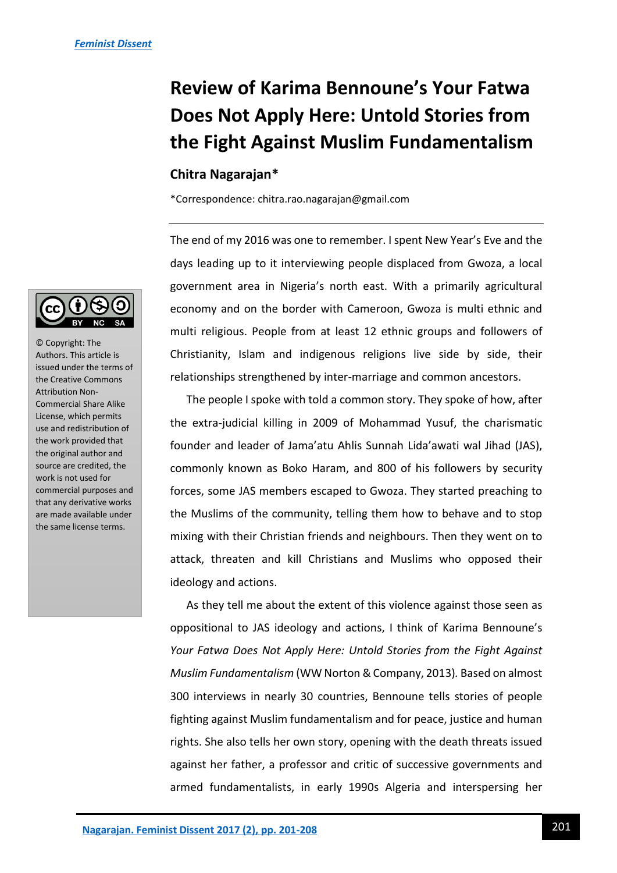# **Review of Karima Bennoune's Your Fatwa Does Not Apply Here: Untold Stories from the Fight Against Muslim Fundamentalism**

## **Chitra Nagarajan\***

\*Correspondence: chitra.rao.nagarajan@gmail.com

The end of my 2016 was one to remember. I spent New Year's Eve and the days leading up to it interviewing people displaced from Gwoza, a local government area in Nigeria's north east. With a primarily agricultural economy and on the border with Cameroon, Gwoza is multi ethnic and multi religious. People from at least 12 ethnic groups and followers of Christianity, Islam and indigenous religions live side by side, their relationships strengthened by inter-marriage and common ancestors.

The people I spoke with told a common story. They spoke of how, after the extra-judicial killing in 2009 of Mohammad Yusuf, the charismatic founder and leader of Jama'atu Ahlis Sunnah Lida'awati wal Jihad (JAS), commonly known as Boko Haram, and 800 of his followers by security forces, some JAS members escaped to Gwoza. They started preaching to the Muslims of the community, telling them how to behave and to stop mixing with their Christian friends and neighbours. Then they went on to attack, threaten and kill Christians and Muslims who opposed their ideology and actions.

As they tell me about the extent of this violence against those seen as oppositional to JAS ideology and actions, I think of Karima Bennoune's *Your Fatwa Does Not Apply Here: Untold Stories from the Fight Against Muslim Fundamentalism* (WW Norton &Company, 2013)*.* Based on almost 300 interviews in nearly 30 countries, Bennoune tells stories of people fighting against Muslim fundamentalism and for peace, justice and human rights. She also tells her own story, opening with the death threats issued against her father, a professor and critic of successive governments and armed fundamentalists, in early 1990s Algeria and interspersing her



© Copyright: The Authors. This article is issued under the terms of the Creative Commons Attribution Non-Commercial Share Alike License, which permits use and redistribution of the work provided that the original author and source are credited, the work is not used for commercial purposes and that any derivative works are made available under the same license terms.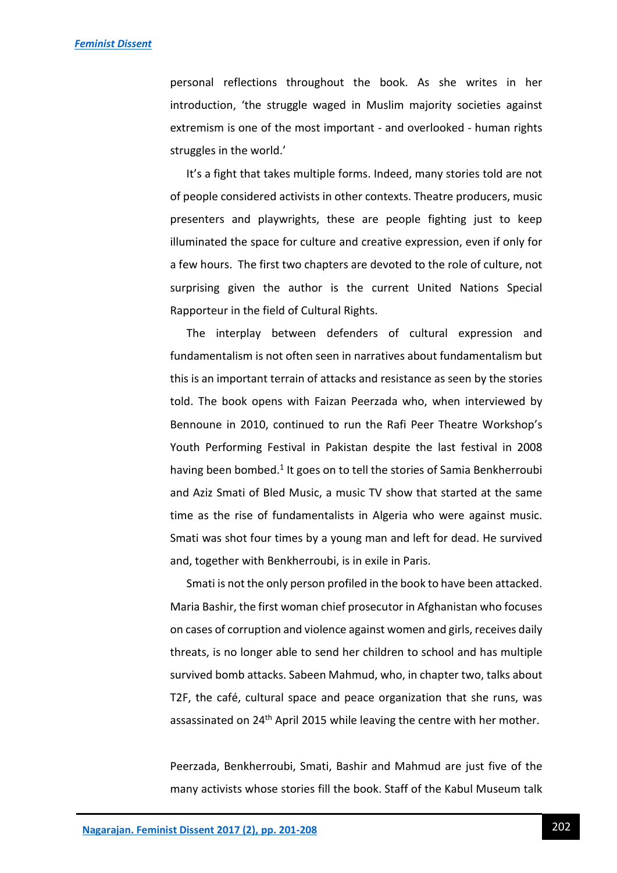personal reflections throughout the book. As she writes in her introduction, 'the struggle waged in Muslim majority societies against extremism is one of the most important - and overlooked - human rights struggles in the world.'

It's a fight that takes multiple forms. Indeed, many stories told are not of people considered activists in other contexts. Theatre producers, music presenters and playwrights, these are people fighting just to keep illuminated the space for culture and creative expression, even if only for a few hours. The first two chapters are devoted to the role of culture, not surprising given the author is the current United Nations Special Rapporteur in the field of Cultural Rights.

The interplay between defenders of cultural expression and fundamentalism is not often seen in narratives about fundamentalism but this is an important terrain of attacks and resistance as seen by the stories told. The book opens with Faizan Peerzada who, when interviewed by Bennoune in 2010, continued to run the Rafi Peer Theatre Workshop's Youth Performing Festival in Pakistan despite the last festival in 2008 having been bombed.<sup>1</sup> It goes on to tell the stories of Samia Benkherroubi and Aziz Smati of Bled Music, a music TV show that started at the same time as the rise of fundamentalists in Algeria who were against music. Smati was shot four times by a young man and left for dead. He survived and, together with Benkherroubi, is in exile in Paris.

Smati is not the only person profiled in the book to have been attacked. Maria Bashir, the first woman chief prosecutor in Afghanistan who focuses on cases of corruption and violence against women and girls, receives daily threats, is no longer able to send her children to school and has multiple survived bomb attacks. Sabeen Mahmud, who, in chapter two, talks about T2F, the café, cultural space and peace organization that she runs, was assassinated on 24<sup>th</sup> April 2015 while leaving the centre with her mother.

Peerzada, Benkherroubi, Smati, Bashir and Mahmud are just five of the many activists whose stories fill the book. Staff of the Kabul Museum talk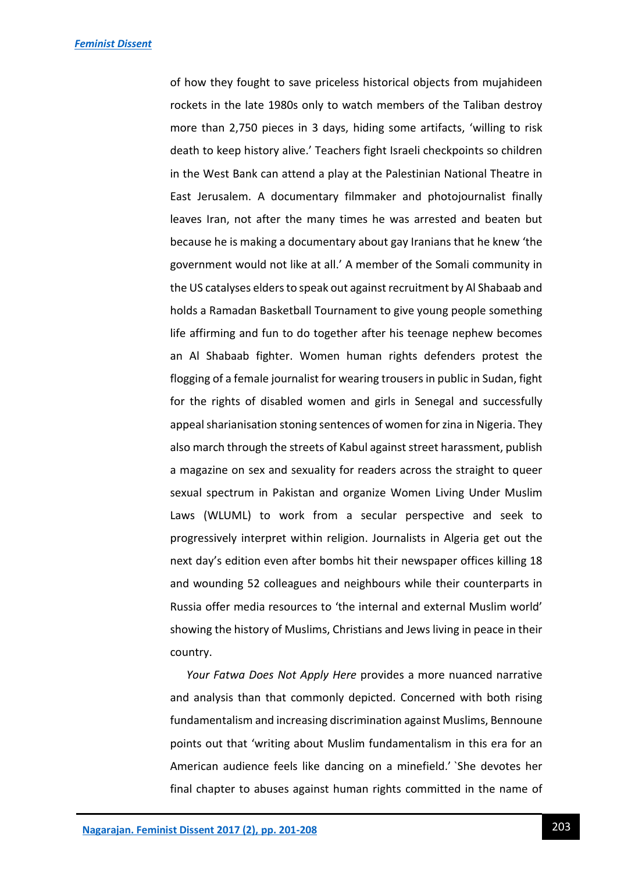of how they fought to save priceless historical objects from mujahideen rockets in the late 1980s only to watch members of the Taliban destroy more than 2,750 pieces in 3 days, hiding some artifacts, 'willing to risk death to keep history alive.' Teachers fight Israeli checkpoints so children in the West Bank can attend a play at the Palestinian National Theatre in East Jerusalem. A documentary filmmaker and photojournalist finally leaves Iran, not after the many times he was arrested and beaten but because he is making a documentary about gay Iranians that he knew 'the government would not like at all.' A member of the Somali community in the US catalyses elders to speak out against recruitment by Al Shabaab and holds a Ramadan Basketball Tournament to give young people something life affirming and fun to do together after his teenage nephew becomes an Al Shabaab fighter. Women human rights defenders protest the flogging of a female journalist for wearing trousers in public in Sudan, fight for the rights of disabled women and girls in Senegal and successfully appeal sharianisation stoning sentences of women for zina in Nigeria. They also march through the streets of Kabul against street harassment, publish a magazine on sex and sexuality for readers across the straight to queer sexual spectrum in Pakistan and organize Women Living Under Muslim Laws (WLUML) to work from a secular perspective and seek to progressively interpret within religion. Journalists in Algeria get out the next day's edition even after bombs hit their newspaper offices killing 18 and wounding 52 colleagues and neighbours while their counterparts in Russia offer media resources to 'the internal and external Muslim world' showing the history of Muslims, Christians and Jews living in peace in their country.

*Your Fatwa Does Not Apply Here* provides a more nuanced narrative and analysis than that commonly depicted. Concerned with both rising fundamentalism and increasing discrimination against Muslims, Bennoune points out that 'writing about Muslim fundamentalism in this era for an American audience feels like dancing on a minefield.' `She devotes her final chapter to abuses against human rights committed in the name of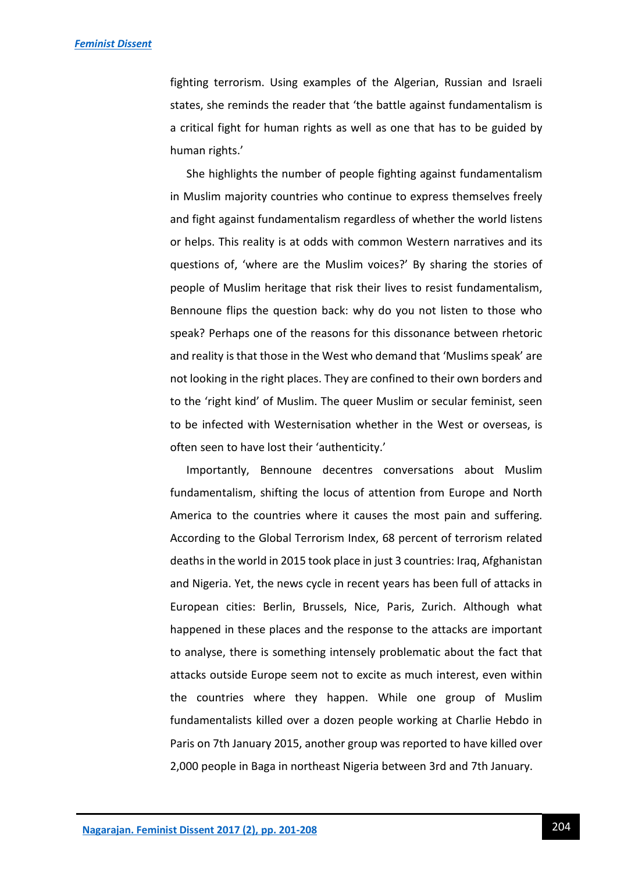fighting terrorism. Using examples of the Algerian, Russian and Israeli states, she reminds the reader that 'the battle against fundamentalism is a critical fight for human rights as well as one that has to be guided by human rights.'

She highlights the number of people fighting against fundamentalism in Muslim majority countries who continue to express themselves freely and fight against fundamentalism regardless of whether the world listens or helps. This reality is at odds with common Western narratives and its questions of, 'where are the Muslim voices?' By sharing the stories of people of Muslim heritage that risk their lives to resist fundamentalism, Bennoune flips the question back: why do you not listen to those who speak? Perhaps one of the reasons for this dissonance between rhetoric and reality is that those in the West who demand that 'Muslims speak' are not looking in the right places. They are confined to their own borders and to the 'right kind' of Muslim. The queer Muslim or secular feminist, seen to be infected with Westernisation whether in the West or overseas, is often seen to have lost their 'authenticity.'

Importantly, Bennoune decentres conversations about Muslim fundamentalism, shifting the locus of attention from Europe and North America to the countries where it causes the most pain and suffering. According to the Global Terrorism Index, 68 percent of terrorism related deaths in the world in 2015 took place in just 3 countries: Iraq, Afghanistan and Nigeria. Yet, the news cycle in recent years has been full of attacks in European cities: Berlin, Brussels, Nice, Paris, Zurich. Although what happened in these places and the response to the attacks are important to analyse, there is something intensely problematic about the fact that attacks outside Europe seem not to excite as much interest, even within the countries where they happen. While one group of Muslim fundamentalists killed over a dozen people working at Charlie Hebdo in Paris on 7th January 2015, another group was reported to have killed over 2,000 people in Baga in northeast Nigeria between 3rd and 7th January.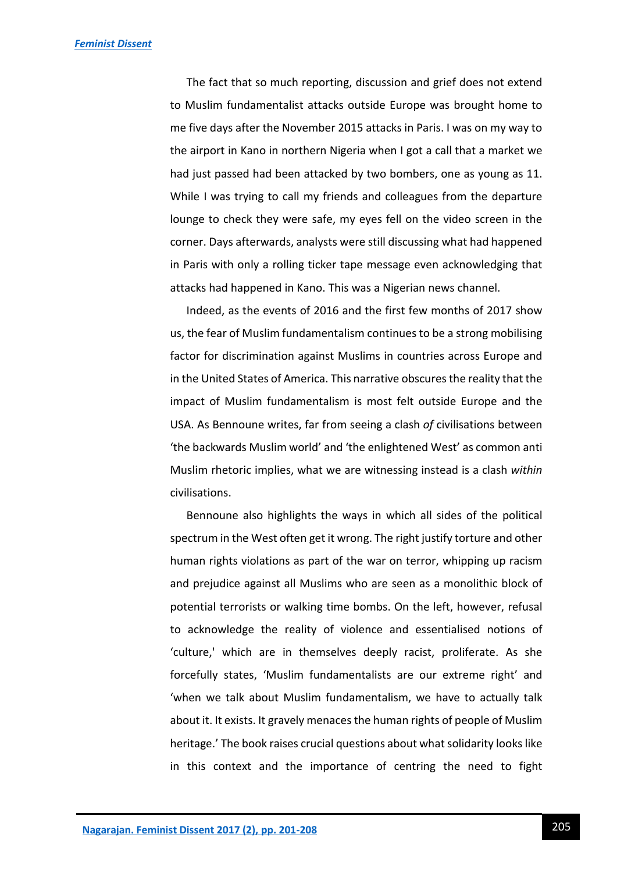The fact that so much reporting, discussion and grief does not extend to Muslim fundamentalist attacks outside Europe was brought home to me five days after the November 2015 attacks in Paris. I was on my way to the airport in Kano in northern Nigeria when I got a call that a market we had just passed had been attacked by two bombers, one as young as 11. While I was trying to call my friends and colleagues from the departure lounge to check they were safe, my eyes fell on the video screen in the corner. Days afterwards, analysts were still discussing what had happened in Paris with only a rolling ticker tape message even acknowledging that attacks had happened in Kano. This was a Nigerian news channel.

Indeed, as the events of 2016 and the first few months of 2017 show us, the fear of Muslim fundamentalism continues to be a strong mobilising factor for discrimination against Muslims in countries across Europe and in the United States of America. This narrative obscures the reality that the impact of Muslim fundamentalism is most felt outside Europe and the USA. As Bennoune writes, far from seeing a clash *of* civilisations between 'the backwards Muslim world' and 'the enlightened West' as common anti Muslim rhetoric implies, what we are witnessing instead is a clash *within* civilisations.

Bennoune also highlights the ways in which all sides of the political spectrum in the West often get it wrong. The right justify torture and other human rights violations as part of the war on terror, whipping up racism and prejudice against all Muslims who are seen as a monolithic block of potential terrorists or walking time bombs. On the left, however, refusal to acknowledge the reality of violence and essentialised notions of 'culture,' which are in themselves deeply racist, proliferate. As she forcefully states, 'Muslim fundamentalists are our extreme right' and 'when we talk about Muslim fundamentalism, we have to actually talk about it. It exists. It gravely menaces the human rights of people of Muslim heritage.' The book raises crucial questions about what solidarity looks like in this context and the importance of centring the need to fight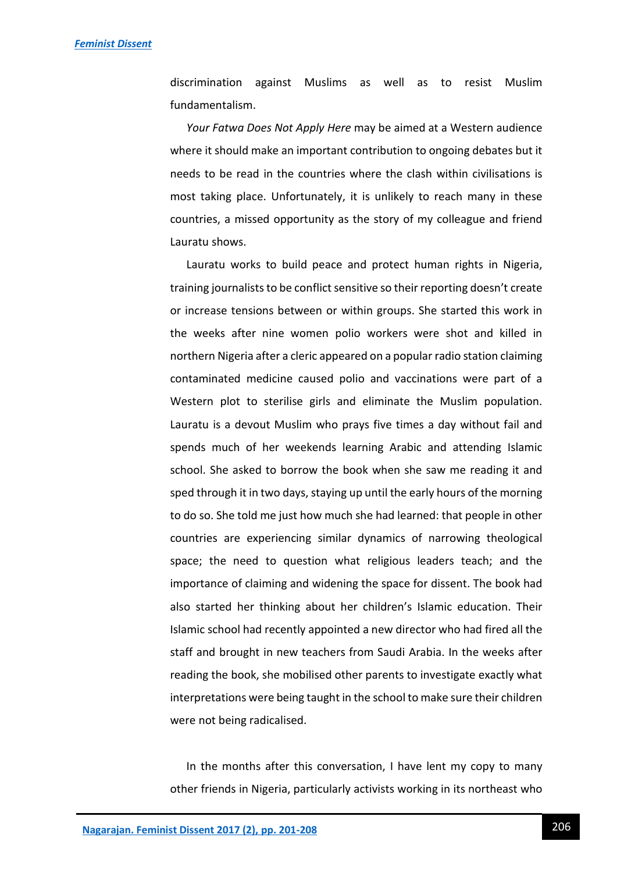discrimination against Muslims as well as to resist Muslim fundamentalism.

*Your Fatwa Does Not Apply Here* may be aimed at a Western audience where it should make an important contribution to ongoing debates but it needs to be read in the countries where the clash within civilisations is most taking place. Unfortunately, it is unlikely to reach many in these countries, a missed opportunity as the story of my colleague and friend Lauratu shows.

Lauratu works to build peace and protect human rights in Nigeria, training journalists to be conflict sensitive so their reporting doesn't create or increase tensions between or within groups. She started this work in the weeks after nine women polio workers were shot and killed in northern Nigeria after a cleric appeared on a popular radio station claiming contaminated medicine caused polio and vaccinations were part of a Western plot to sterilise girls and eliminate the Muslim population. Lauratu is a devout Muslim who prays five times a day without fail and spends much of her weekends learning Arabic and attending Islamic school. She asked to borrow the book when she saw me reading it and sped through it in two days, staying up until the early hours of the morning to do so. She told me just how much she had learned: that people in other countries are experiencing similar dynamics of narrowing theological space; the need to question what religious leaders teach; and the importance of claiming and widening the space for dissent. The book had also started her thinking about her children's Islamic education. Their Islamic school had recently appointed a new director who had fired all the staff and brought in new teachers from Saudi Arabia. In the weeks after reading the book, she mobilised other parents to investigate exactly what interpretations were being taught in the school to make sure their children were not being radicalised.

In the months after this conversation, I have lent my copy to many other friends in Nigeria, particularly activists working in its northeast who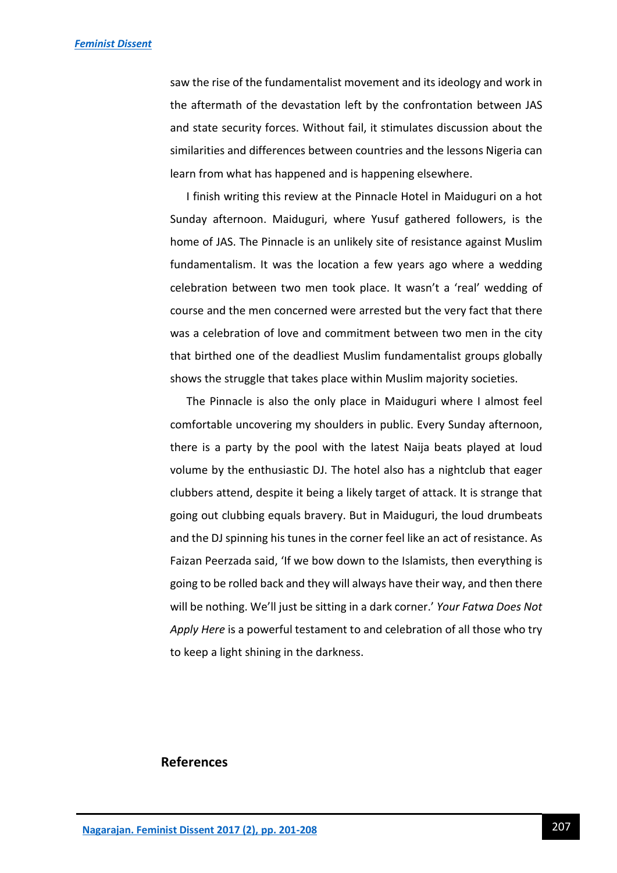saw the rise of the fundamentalist movement and its ideology and work in the aftermath of the devastation left by the confrontation between JAS and state security forces. Without fail, it stimulates discussion about the similarities and differences between countries and the lessons Nigeria can learn from what has happened and is happening elsewhere.

I finish writing this review at the Pinnacle Hotel in Maiduguri on a hot Sunday afternoon. Maiduguri, where Yusuf gathered followers, is the home of JAS. The Pinnacle is an unlikely site of resistance against Muslim fundamentalism. It was the location a few years ago where a wedding celebration between two men took place. It wasn't a 'real' wedding of course and the men concerned were arrested but the very fact that there was a celebration of love and commitment between two men in the city that birthed one of the deadliest Muslim fundamentalist groups globally shows the struggle that takes place within Muslim majority societies.

The Pinnacle is also the only place in Maiduguri where I almost feel comfortable uncovering my shoulders in public. Every Sunday afternoon, there is a party by the pool with the latest Naija beats played at loud volume by the enthusiastic DJ. The hotel also has a nightclub that eager clubbers attend, despite it being a likely target of attack. It is strange that going out clubbing equals bravery. But in Maiduguri, the loud drumbeats and the DJ spinning his tunes in the corner feel like an act of resistance. As Faizan Peerzada said, 'If we bow down to the Islamists, then everything is going to be rolled back and they will always have their way, and then there will be nothing. We'll just be sitting in a dark corner.' *Your Fatwa Does Not Apply Here* is a powerful testament to and celebration of all those who try to keep a light shining in the darkness.

### **References**